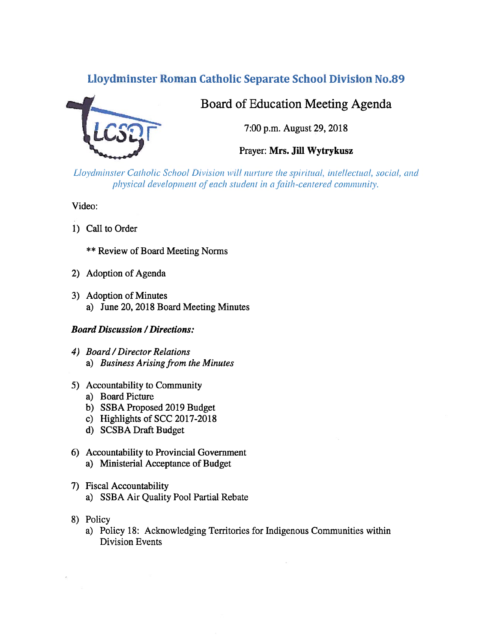## Lloydminster Roman Catholic Separate School Division No.89



# Board of Education Meeting Agenda

7:00 p.m. August 29, 2018

Prayer: Mrs. Jill Wytrykusz

Lloydminster Catholic School Division will nurture the spiritual, intellectual, social, and physical development of each student in a faith-centered community.

Video:

- 1) Call to Order
	- \*\* Review of Board Meeting Norms
- 2) Adoption of Agenda
- 3) Adoption of Minutes a) June 20, 2018 Board Meeting Minutes

## Board Discussion /Directions:

- 4) Board /Director Relations a) Business Arising from the Minutes
- 5) Accountability to Community
	- a) Board Picture
	- b) SSBA Proposed 2019 Budget
	- c) Highlights of SCC 2017-2018
	- d) SCSBA Draft Budget
- 6) Accountability to Provincial Government a) Ministerial Acceptance of Budget
- 7) fiscal Accountability
	- a) SSBA Air Quality Pool Partial Rebate
- 8) Policy
	- a) Policy 18: Acknowledging Territories for Indigenous Communities within Division Events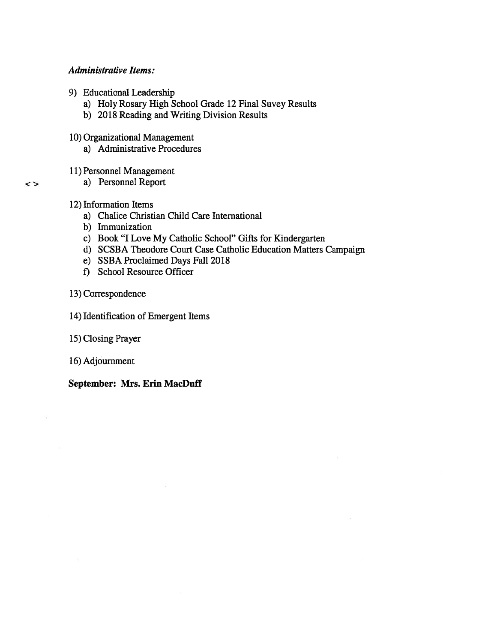## Administrative Items:

- 9) Educational Leadership
	- a) Holy Rosary High School Grade 12 Final Suvey Results
	- b) 2018 Reading and Writing Division Results
- 10) Organizational Management
	- a) Administrative Procedures
- 11) Personnel Management
	- a) Personnel Report
- 12) Information Items

 $\leq$ 

- a) Chalice Christian Child Care International
- b) Immunization
- c) Book "I Love My Catholic School" Gifts for Kindergarten
- d) SCSBA Theodore Court Case Catholic Education Matters Campaign
- e) SSBA Proclaimed Days Fall 2018
- 1) School Resource Officer
- 13) Correspondence
- 14) Identification of Emergent Items
- 15) Closing Prayer
- 16) Adjournment

September: Mrs. Erin MacDuff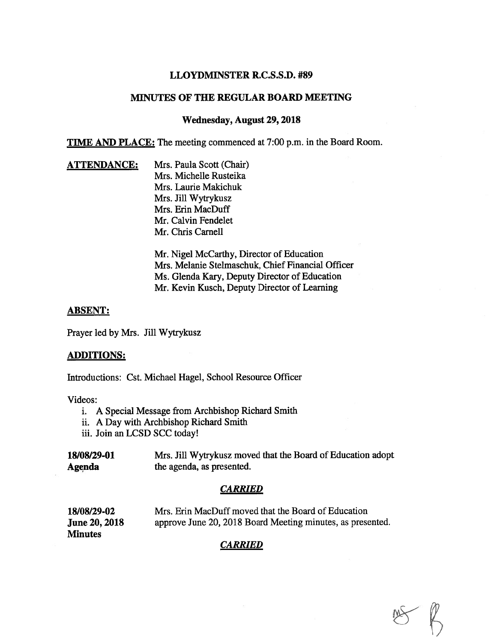## LLOYDMINSTER R.C.S.S.D. #89

## MINUTES OF THE REGULAR BOARD MEETING

## Wednesday, August 29,2018

TIME AND PLACE: The meeting commenced at 7:00 p.m. in the Board Room.

**ATTENDANCE:** Mrs. Paula Scott (Chair) Mrs. Michelle Rusteika Mrs. Laurie Makichuk Mrs. Jill Wytrykusz Mrs. Erin MacDuff Mr. Calvin Fendelet Mr. Chris Carnell

> Mr. Nigel McCarthy, Director of Education Mrs. Melanie Stelmaschuk, Chief Financial Officer Ms. Glenda Kary, Deputy Director of Education Mr. Kevin Kusch, Deputy Director of Learning

## ABSENT:

Prayer led by Mrs. Jill Wytrykusz

#### ADDITIONS:

Introductions: Cst. Michael Hagel, School Resource Officer

Videos:

- i. A Special Message from Archbishop Richard Smith
- ii. A Day with Archbishop Richard Smith
- iii. Join an LCSD SCC today!

| 18/08/29-01   | Mrs. Jill Wytrykusz moved that the Board of Education adopt |
|---------------|-------------------------------------------------------------|
| <b>Agenda</b> | the agenda, as presented.                                   |

## CARRIED

| 18/08/29-02          | Mrs. Erin MacDuff moved that the Board of Education        |
|----------------------|------------------------------------------------------------|
| <b>June 20, 2018</b> | approve June 20, 2018 Board Meeting minutes, as presented. |
| <b>Minutes</b>       |                                                            |

## CARRIED